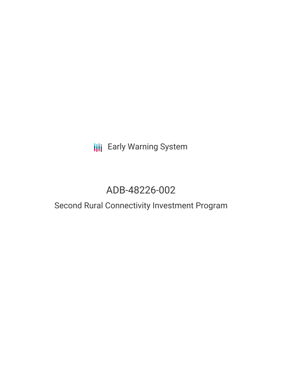# **III** Early Warning System

# ADB-48226-002

# Second Rural Connectivity Investment Program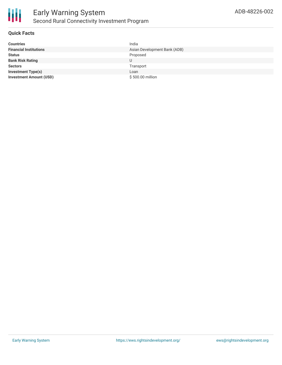

## **Quick Facts**

| <b>Countries</b>               | India                        |
|--------------------------------|------------------------------|
| <b>Financial Institutions</b>  | Asian Development Bank (ADB) |
| <b>Status</b>                  | Proposed                     |
| <b>Bank Risk Rating</b>        | U                            |
| <b>Sectors</b>                 | Transport                    |
| <b>Investment Type(s)</b>      | Loan                         |
| <b>Investment Amount (USD)</b> | \$500.00 million             |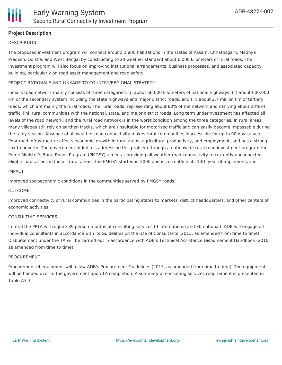# **Project Description**

#### **DESCRIPTION**

The proposed investment program will connect around 2,800 habitations in the states of Assam, Chhattisgarh, Madhya Pradesh, Odisha, and West Bengal by constructing to all-weather standard about 6,000 kilometers of rural roads. The investment program will also focus on improving institutional arrangements, business processes, and associated capacity building, particularly on road asset management and road safety.

### PROJECT RATIONALE AND LINKAGE TO COUNTRY/REGIONAL STRATEGY

India''s road network mainly consists of three categories: (i) about 60,000 kilometers of national highways, (ii) about 600,000 km of the secondary system including the state highways and major district roads, and (iii) about 2.7 million km of tertiary roads, which are mainly the rural roads. The rural roads, representing about 80% of the network and carrying about 20% of traffic, link rural communities with the national, state, and major district roads. Long term underinvestment has affected all levels of the road network, and the rural road network is in the worst condition among the three categories. In rural areas, many villages still rely on earthen tracks, which are unsuitable for motorized traffic and can easily become impassable during the rainy season. Absence of all-weather road connectivity makes rural communities inaccessible for up to 90 days a year. Poor road infrastructure affects economic growth in rural areas, agricultural productivity, and employment, and has a strong link to poverty. The government of India is addressing this problem through a nationwide rural road investment program the Prime Minister's Rural Roads Program (PMGSY) aimed at providing all-weather road connectivity to currently unconnected eligible habitations in India's rural areas. The PMGSY started in 2000 and is currently in its 14th year of implementation.

#### IMPACT

improved socioeconomic conditions in the communities served by PMGSY roads.

#### OUTCOME

improved connectivity of rural communities in the participating states to markets, district headquarters, and other centers of economic activities

#### CONSULTING SERVICES

In total the PPTA will require 39 person-months of consulting services (9 international and 30 national). ADB will engage all individual consultants in accordance with its Guidelines on the Use of Consultants (2013, as amended from time to time). Disbursement under the TA will be carried out in accordance with ADB's Technical Assistance Disbursement Handbook (2010, as amended from time to time).

#### PROCUREMENT

Procurement of equipment will follow ADB's Procurement Guidelines (2013, as amended from time to time). The equipment will be handed over to the government upon TA completion. A summary of consulting services requirement is presented in Table A3.3.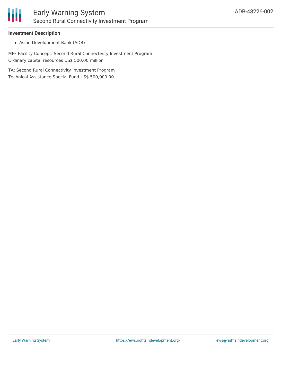

### **Investment Description**

Asian Development Bank (ADB)

MFF Facility Concept: Second Rural Connectivity Investment Program Ordinary capital resources US\$ 500.00 million

TA: Second Rural Connectivity Investment Program Technical Assistance Special Fund US\$ 500,000.00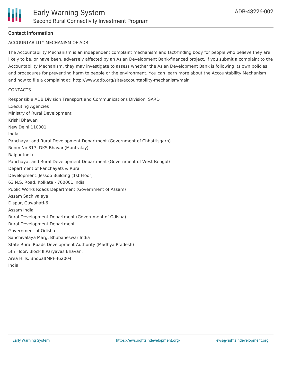## **Contact Information**

#### ACCOUNTABILITY MECHANISM OF ADB

The Accountability Mechanism is an independent complaint mechanism and fact-finding body for people who believe they are likely to be, or have been, adversely affected by an Asian Development Bank-financed project. If you submit a complaint to the Accountability Mechanism, they may investigate to assess whether the Asian Development Bank is following its own policies and procedures for preventing harm to people or the environment. You can learn more about the Accountability Mechanism and how to file a complaint at: http://www.adb.org/site/accountability-mechanism/main

#### **CONTACTS**

Responsible ADB Division Transport and Communications Division, SARD Executing Agencies Ministry of Rural Development Krishi Bhawan New Delhi 110001 India Panchayat and Rural Development Department (Government of Chhattisgarh) Room No.317, DKS Bhavan(Mantralay), Raipur India Panchayat and Rural Development Department (Government of West Bengal) Department of Panchayats & Rural Development, Jessop Building (1st Floor) 63 N.S. Road, Kolkata - 700001 India Public Works Roads Department (Government of Assam) Assam Sachivalaya, Dispur, Guwahati-6 Assam India Rural Development Department (Government of Odisha) Rural Development Department Government of Odisha Sanchivalaya Marg, Bhubaneswar India State Rural Roads Development Authority (Madhya Pradesh) 5th Floor, Block II,Paryavas Bhavan, Area Hills, Bhopal(MP)-462004 India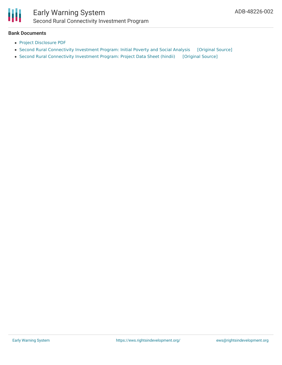

# Early Warning System Second Rural Connectivity Investment Program

#### **Bank Documents**

- Project [Disclosure](https://www.adb.org/printpdf/projects/48226-002/main) PDF
- Second Rural [Connectivity](https://ewsdata.rightsindevelopment.org/files/documents/02/ADB-48226-002_CVPFc5Z.pdf) Investment Program: Initial Poverty and Social Analysis [\[Original](https://www.adb.org/projects/documents/second-rural-connectivity-investment-program-india-ipsa) Source]
- Second Rural [Connectivity](https://ewsdata.rightsindevelopment.org/files/documents/02/ADB-48226-002.pdf) Investment Program: Project Data Sheet (hindii) [\[Original](https://www.adb.org/hi/projects/documents/48226-002-project-data-sheet) Source]